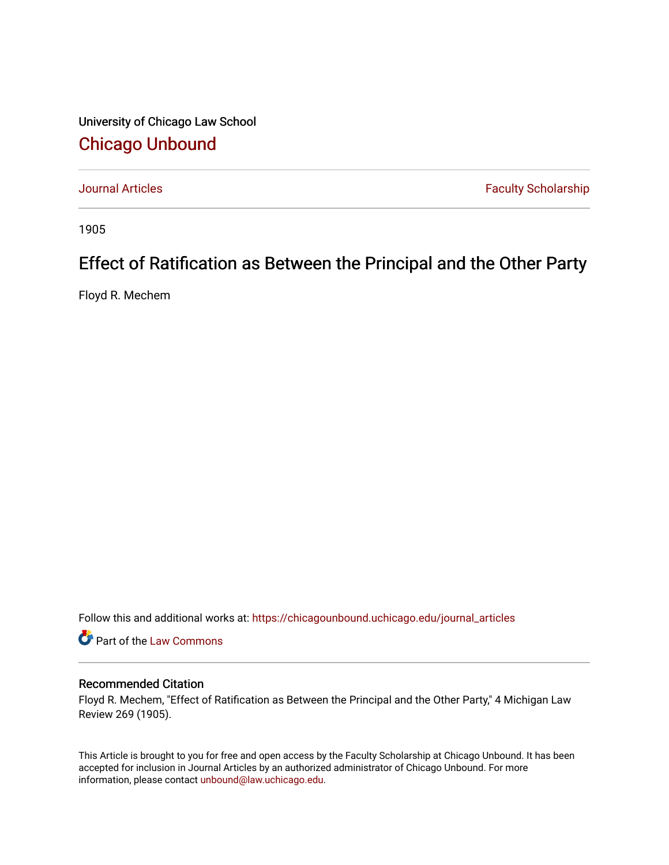University of Chicago Law School [Chicago Unbound](https://chicagounbound.uchicago.edu/)

[Journal Articles](https://chicagounbound.uchicago.edu/journal_articles) **Faculty Scholarship Faculty Scholarship** 

1905

# Effect of Ratification as Between the Principal and the Other Party

Floyd R. Mechem

Follow this and additional works at: [https://chicagounbound.uchicago.edu/journal\\_articles](https://chicagounbound.uchicago.edu/journal_articles?utm_source=chicagounbound.uchicago.edu%2Fjournal_articles%2F9082&utm_medium=PDF&utm_campaign=PDFCoverPages) 

Part of the [Law Commons](http://network.bepress.com/hgg/discipline/578?utm_source=chicagounbound.uchicago.edu%2Fjournal_articles%2F9082&utm_medium=PDF&utm_campaign=PDFCoverPages)

# Recommended Citation

Floyd R. Mechem, "Effect of Ratification as Between the Principal and the Other Party," 4 Michigan Law Review 269 (1905).

This Article is brought to you for free and open access by the Faculty Scholarship at Chicago Unbound. It has been accepted for inclusion in Journal Articles by an authorized administrator of Chicago Unbound. For more information, please contact [unbound@law.uchicago.edu](mailto:unbound@law.uchicago.edu).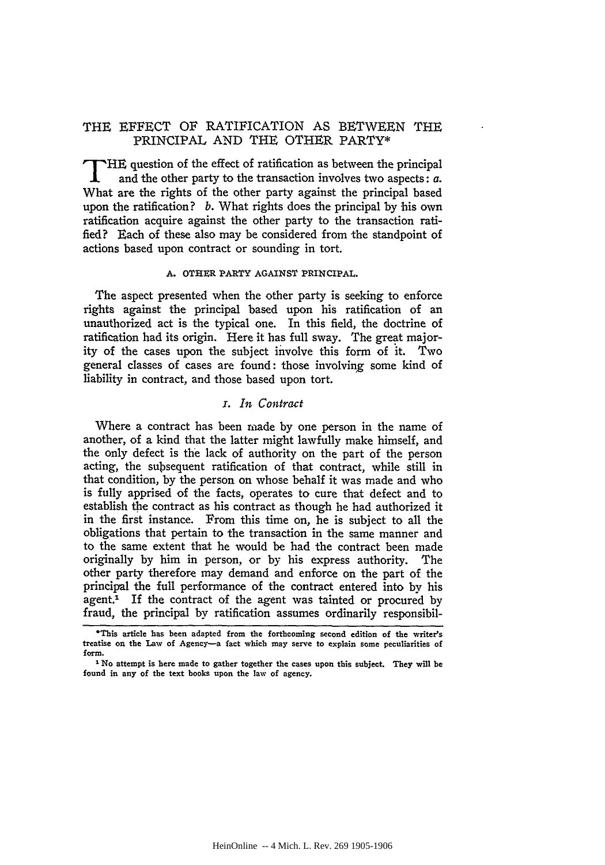## THE **EFFECT** OF RATIFICATION **AS** BETWEEN THE PRINCIPAL **AND** THE OTHER PARTY\*

**T** HE question of the effect of ratification as between the principal and the other party to the transaction involves two aspects:  $a$ . What are the rights of the other party against the principal based upon the ratification? *b.* What rights does the principal by his own ratification acquire against the other party to the transaction ratified? Each of these also may be considered from the standpoint of actions based upon contract or sounding in tort.

#### A. OTHER PARTY AGAINST PRINCIPAL.

The aspect presented when the other party is seeking to enforce rights against the principal based upon his ratification of an unauthorized act is the typical one. In this field, the doctrine of ratification had its origin. Here it has full sway. The great majority of the cases upon the subject involve this form of it. Two general classes of cases are found: those involving some kind of liability in contract, and those based upon tort.

## *i. In Contract*

Where a contract has been made by one person in the name of another, of a kind that the latter might lawfully make himself, and the only defect is the lack of authority on the part of the person acting, the subsequent ratification of that contract, while still in that condition, by the person on whose behalf it was made and who is fully apprised of the facts, operates to cure that defect and to establish the contract as his contract as though he had authorized it in the first instance. From this time on, he is subject to all the obligations that pertain to the transaction in the same manner and to the same extent that he would be had the contract been made originally by him in person, or by his express authority. The other party therefore may demand and enforce on the part of the principal the full performance of the contract entered into by his agent.<sup>1</sup> If the contract of the agent was tainted or procured by fraud, the principal by ratification assumes ordinarily responsibil-

**<sup>\*</sup>This article has been adapted from the forthcoming second edition of the writer's treatise on the Law of Ageney-a fact** which **may serve to explain some peculiarities of form.**

**I No attempt is here made to gather together the cases upon this subject. They will be found** in **any of the text books upon the law of agency.**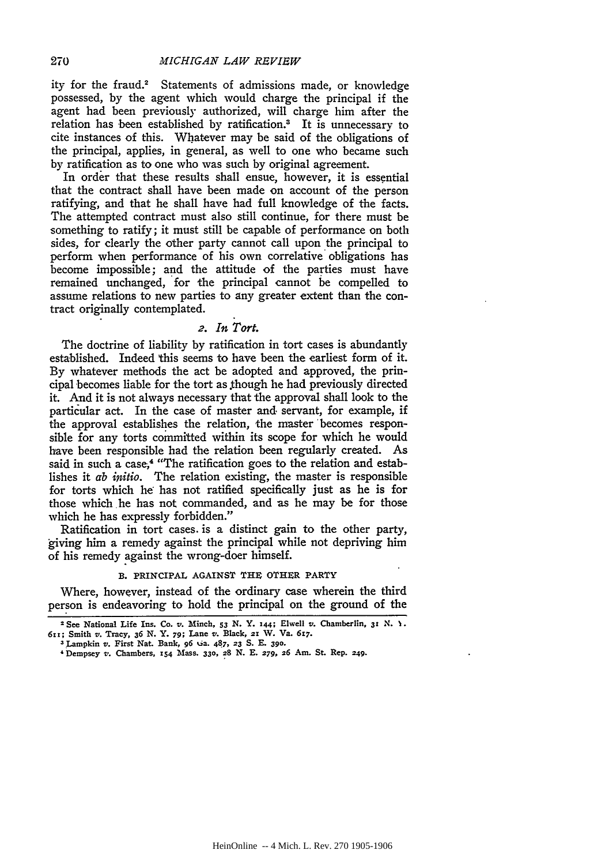ity for the fraud.<sup>2</sup> Statements of admissions made, or knowledge possessed, by the agent which would charge the principal if the agent had been previously authorized, will charge him after the relation has been established by ratification.3 It is unnecessary to cite instances of this. Whatever may be said of the obligations of the principal, applies, in general, as well to one who became such by ratification as to one who was such by original agreement.

In order that these results shall ensue, however, it is essential that the contract shall have been made on account of the person ratifying, and that he shall have had full knowledge of the facts. The attempted contract must also still continue, for there must be something to ratify; it must still be capable of performance on both sides, for clearly the other party cannot call upon the principal to perform when performance of his own correlative obligations has become impossible; and the attitude of the parties must have remained unchanged, for the principal cannot be compelled to assume relations to new parties to any greater extent than the contract originally contemplated.

# **2.** *In Tort.*

The doctrine of liability by ratification in tort cases is abundantly established. Indeed this seems to have been the earliest form of it. By whatever methods the act be adopted and approved, the principal becomes liable for the tort as .though he had previously directed it. And it is not always necessary that the approval shall look to the particular act. In the case of master and. servant, for example, if the approval establishes the relation, the master 'becomes responsible for any torts committed within its scope for which he would have been responsible had the relation been regularly created. As said in such a case,<sup>4</sup> "The ratification goes to the relation and establishes it *ab initio.* The relation existing, the master is responsible for torts which he has not ratified specifically just as he is for those which he has not commanded, and as he may be for those which he has expressly forbidden."

Ratification in tort cases. is a distinct gain to the other party, giving him a remedy against the principal while not depriving him of his remedy against the wrong-doer himself.

### B. PRINCIPAL AGAINST **THE** OTHER PARTY

Where, however, instead of the ordinary case wherein the third person is endeavoring to hold the principal on the ground of the

<sup>2</sup>**See National Life Ins. Co. v. Minch,** *53* **N. Y. 144; Elwell** v. **Chamberlin, 3 N.** *1.* **611; Smith v. Tracy, 36 N. Y.** *79;* **Lane** v. **Black,** 21 **'W. Va. 617.**

<sup>&</sup>lt;sup>3</sup> Lampkin v. First Nat. Bank, 96 va. 487, 23 S. E. 390.

<sup>4</sup> **Dempsey v. Chambers, I54 Mass. 330, 28 N. E.** *279, 26* **Am. St. Rep. 249.**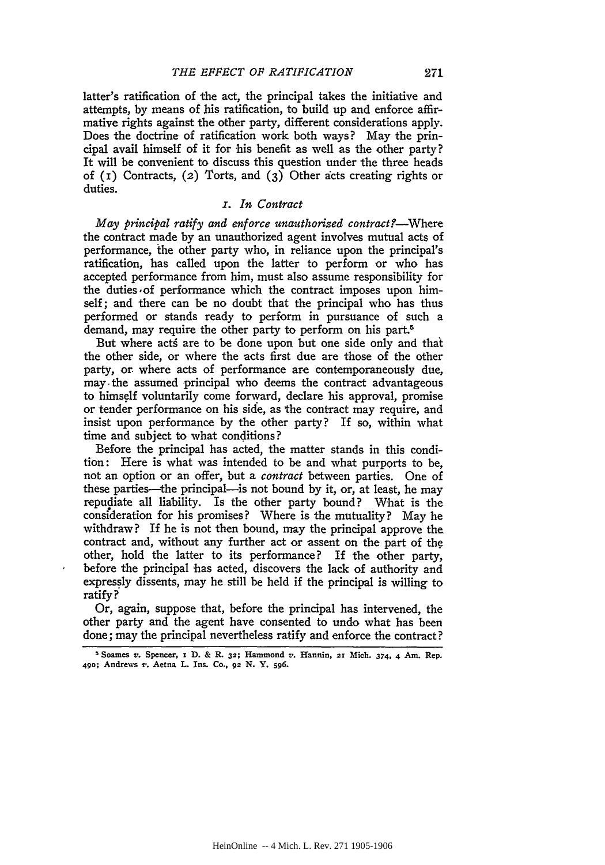latter's ratification of the act, the principal takes the initiative and attempts, by means of his ratification, to build up and enforce affirmative rights against the other party, different considerations apply. Does the doctrine of ratification work both ways? May the principal avail himself of it for his benefit as well as the other party? It will be convenient to discuss this question under the three heads of (I) Contracts, (2) Torts, and **(3)** Other acts creating rights or duties.

## *i. In Contract*

*May principal ratify and enforce unauthorized contract?-Where* the contract made **by** an unauthorized agent involves mutual acts of performance, the other party who, in reliance upon the principal's ratification, has called upon the latter to perform or who has accepted performance from him, must also assume responsibility for the duties of performance which the contract imposes upon himself; and there can be no doubt that the principal who has thus performed or stands ready to perform in pursuance of such a demand, may require the other party to perform on his part.<sup>5</sup>

But where acts are to be done upon but one side only and that the other side, or where the acts first due are those of the other party, or. where acts of performance are contemporaneously due, may.the assumed principal who deems the contract advantageous to himself voluntarily come forward, declare his approval, promise or tender performance on his side, as the contract may require, and insist upon performance by the other party? If so, within what time and subject to what conditions?

Before the principal has acted, the matter stands in this condition: Here is what was intended to be and what purports to be, not an option or an offer, but a *contract* between parties. One of these parties—the principal—is not bound by it, or, at least, he may repudiate all liability. Is the other party bound? What is the consideration for his promises? Where is the mutuality? May he withdraw? If he is not then bound, may the principal approve the contract and, without any further act or assent on the part of the other, hold the latter to its performance? If the other party, before the principal has acted, discovers the lack of authority and expressly dissents, may he still be held if the principal is willing to ratify?

Or, again, suppose that, before the principal has intervened, the other party and the agent have consented to undo what has been done; may the principal nevertheless ratify and enforce the contract?

**Soames v. Spencer, i D. & R. 32; Hammond v. Hannin, 21 Mich. 374,** 4 **Am. Rep.** 490; **Andrews v. Aetna** *L.* Ins. **Co., 92 N. Y. 596.**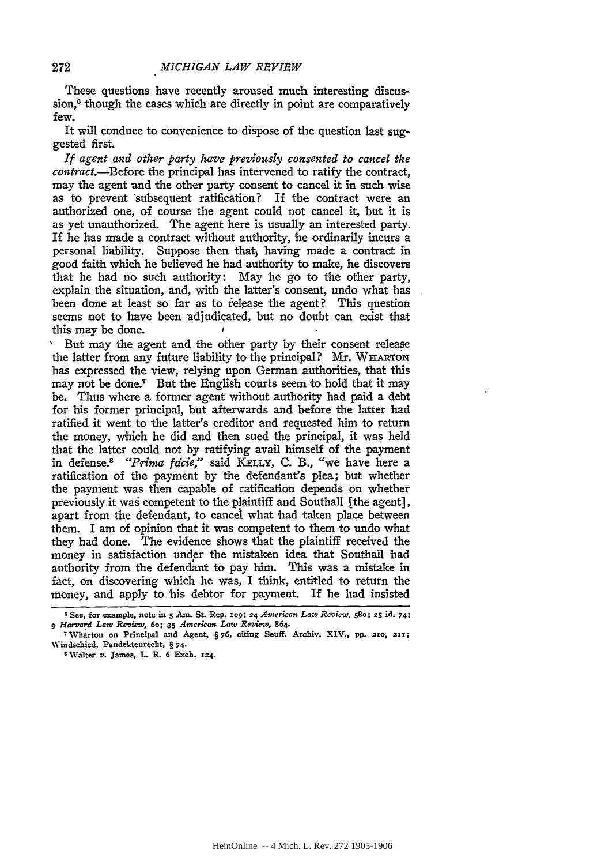These questions have recently aroused much interesting discussion,<sup>6</sup> though the cases which are directly in point are comparatively few.

It will conduce to convenience to dispose of the question last suggested first.

*If agent and other party have previously consented to cancel the contract.-Before* the principal has intervened to ratify the contract, may the agent and the other party consent to cancel it in such wise as to prevent 'subsequent ratification? If the contract were an authorized one, of course the agent could not cancel it, but it is as yet unauthorized. The agent here is usually an interested party. If he has made a contract without authority, he ordinarily incurs a personal liability. Suppose then that, having made a contract in good faith which he believed he had authority to make, he discovers that he had no such authority: May he go to the other party, explain the situation, and, with the latter's consent, undo what has been done at least so far as to release the agent? This question seems not to have been adjudicated, but no doubt can exist that this may be done. **I**

But may the agent and the other party **by** their consent release the latter from any future liability to the principal? Mr. WHARTON has expressed the view, relying upon German authorities, that this may not be done.<sup>7</sup> But the English courts seem to hold that it may be. Thus where a former agent without authority had paid a debt for his former principal, but afterwards and before the latter had ratified it went to the latter's creditor and requested him to return the money, which he did and then sued the principal, it was held that the latter could not by ratifying avail himself of the payment in defense.8 *"Prima fdcie,"* said **KrLIY,** C. B., "we have here a ratification of the payment by the defendant's plea; but whether the payment was then capable of ratification depends on whether previously it was competent to the plaintiff and Southall [the agent], apart from the defendant, to cancel what had taken place between them. I am of opinion that it was competent to them to undo what they had done. The evidence shows that the plaintiff received the money in satisfaction under the mistaken idea that Southall had authority from the defendant to pay him. This was a mistake in fact, on discovering which he was, I think, entitled to return the money, and apply to his debtor for payment. If he had insisted

272

**<sup>0</sup> See, for example, note in 5 Am. St. Rep. 109; 24** *American Law* Review, **580;** 25 **id. 74; 9** *Harvard* **Law** *Review,* **6o; 35** *American Law Review,* **864.**

**Wharton on Principal and Agent,** § **76, citing Seuff. Archiv. XIV., pp. 20, 2x1; Windschied, Pandektenrecht,** § **74.**

**s** Walter *v.* **James, L. R. 6 Exch. 124.**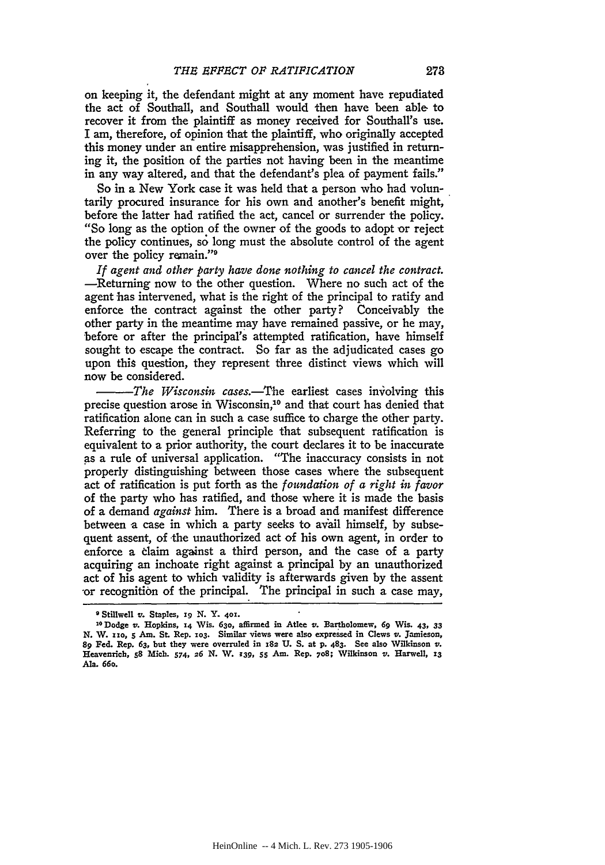on keeping it, the defendant might at any moment have repudiated the act of Southall, and Southall would then have been able to recover it from the plaintiff as money received for Southall's use. I am, therefore, of opinion that the plaintiff, who originally accepted this money under an entire misapprehension, was justified in returning it, the position of the parties not having been in the meantime in any way altered, and that the defendant's plea of payment fails."

So in a New York case it was held that a person who had voluntarily procured insurance for his own and another's benefit might, before the latter had ratified the act, cancel or surrender the policy. "So long as the option of the owner of the goods to adopt or reject the policy continues, so long must the absolute control of the agent over the policy renain."9

*If agent and other party have done nothing to cancel the contract.* -Returning now to the other question. Where no such act of the agent has intervened, what is the right of the principal to ratify and enforce the contract against the other party? Conceivably the other party in the meantime may have remained passive, or he may, before or after the principal's attempted ratification, have himself sought to escape the contract. So far as the adjudicated cases go upon this question, they represent three distinct views which will now be considered.

*-The Wisconsin cases.-The* earliest cases involving this precise question arose in Wisconsin,<sup>10</sup> and that court has denied that ratification alone can in such a case suffice to charge the other party. Referring to the general principle that subsequent ratification is equivalent to a prior authority, the court declares it to be inaccurate as a rule of universal application. "The inaccuracy consists in not properly distinguishing between those cases where the subsequent act of ratification is put forth as the *foundation of a right in favor* of the party who has ratified, and those where it is made the basis of a demand *against* him. There is a broad and manifest difference between a case in which a party seeks to avail himself, by subsequent assent, of the unauthorized act of his own agent, in order to enforce a claim against a third person, and the case of a party acquiring an inchoate right against a principal by an unauthorized act of his agent to which validity is afterwards given by the assent -or recognition of the principal. The principal in such a case may,

**<sup>9</sup> Stillwell v. Staples, x9 N.** *Y.* **401.**

<sup>20</sup> **Dodge v. Hopkins,** 14 **Wis. 630, affirmed in Atlee v. Bartholomew, 69 Wis. 43, 33 N. W. xxo, 5 Am. St. Rep. 103. Similar views were also expressed in Clews v. Jamieson, 89 Fed. Rep. 63, but they were overruled in 182 U. S. at p. 483. See also Wilkinson v.** Heavenrich, 58 Mich. 574, 26 N. W. 139, 55 Am. Rep. 708; Wilkinson v. Harwell, 13 **Ala. 66o.**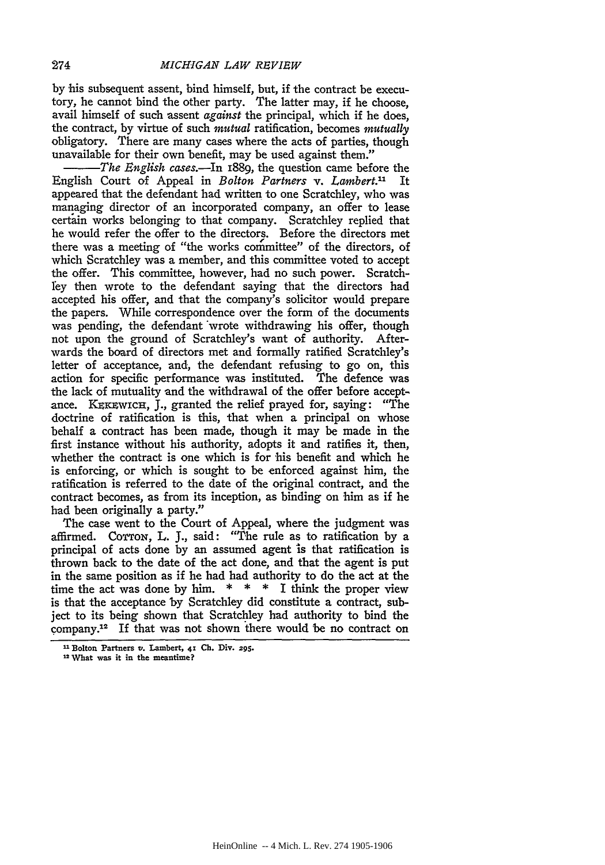by his subsequent assent, bind himself, but, if the contract be executory, he cannot bind the other party. The latter may, if he choose, avail himself of such assent *against* the principal, which if he does, the contract, by virtue of such *mutual* ratification, becomes *mutually* obligatory. There are many cases where the acts of parties, though unavailable for their own benefit, may be used against them."

*-The English cases.-In* 1889, the question came before the English Court of Appeal in *Bolton Partners v. Lambert." It* appeared that the defendant had written to one Scratchley, who was managing director of an incorporated company, an offer to lease certain works belonging to that company. Scratchley replied that he would refer the offer to the directors. Before the directors met there was a meeting of "the works committee" of the directors, of which Scratchley was a member, and this committee voted to accept the offer. This committee, however, had no such power. Scratchfey then wrote to the defendant saying that the directors had accepted his offer, and that the company's solicitor would prepare the papers. While correspondence over the form of the documents was pending, the defendant wrote withdrawing his offer, though not upon the ground of Scratchley's want of authority. Afterwards the board of directors met and formally ratified Scratchley's letter of acceptance, and, the defendant refusing to go on, this action for specific performance was instituted. The defence was the lack of mutuality and the withdrawal of the offer before acceptance. KEKEWICH, J., granted the relief prayed for, saying: "The doctrine of ratification is this, that when a principal on whose behalf a contract has been made, though it may be made in the first instance without his authority, adopts it and ratifies it, then, whether the contract is one which is for his benefit and which he is enforcing, or which is sought to be enforced against him, the ratification is referred to the date of the original contract, and the contract becomes, as from its inception, as binding on him as if he had been originally a party."

The case went to the Court of Appeal, where the judgment was affirmed. Corron, L. J., said: "The rule as to ratification by a principal of acts done by an assumed agent is that ratification is thrown back to the date of the act done, and that the agent is put in the same position as if he had had authority to do the act at the time the act was done by him.  $* * * I$  think the proper view is that the acceptance **by** Scratchley did constitute a contract, subject to its being shown that Scratchley had authority to bind the company.12 If that was not shown there would be no contract on

274

**<sup>&</sup>quot;Bolton Partners v. Lambert, 41 Ch. Div. z95.**

<sup>12</sup>What **was it in the** meantime?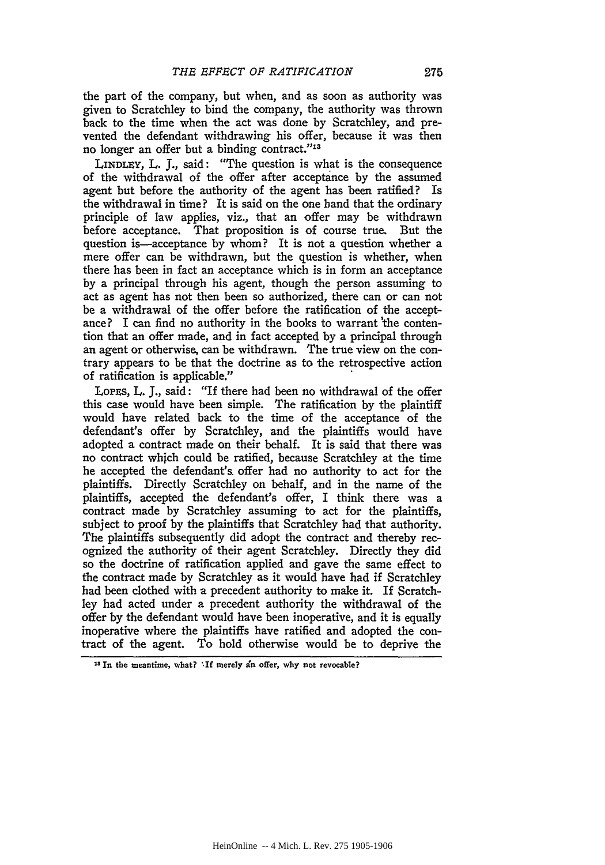the part of the company, but when, and as soon as authority was given to Scratchley to bind the company, the authority was thrown back to the time when the act was done by Scratchley, and prevented the defendant withdrawing his offer, because it was then no longer an offer but a binding contract."<sup>13</sup>

LINDLEY, L. J., said: "The question is what is the consequence of the withdrawal of the offer after acceptance by the assumed agent but before the authority of the agent has been ratified? Is the withdrawal in time? It is said on the one band that the ordinary principle of law applies, viz., that an offer may be withdrawn before acceptance. That proposition is of course true. But the question is—acceptance by whom? It is not a question whether a mere offer can be withdrawn, but the question is whether, when there has been in fact an acceptance which is in form an acceptance by a principal through his agent, though the person assuming to act as agent has not then been so authorized, there can or can not be a withdrawal of the offer before the ratification of the acceptance? I can find no authority in the books to warrant 'the contention that an offer made, and in fact accepted by a principal through an agent or otherwise, can be withdrawn. The true view on the contrary appears to be that the doctrine as to the retrospective action of ratification is applicable."

LOPES, L. J., said: "If there had been no withdrawal of the offer this case would have been simple. The ratification by the plaintiff would have related back to the time of the acceptance of the defendant's offer by Scratchley, and the plaintiffs would have adopted a contract made on their behalf. It is said that there was no contract which could be ratified, because Scratchley at the time he accepted the defendant's offer had no authority to act for the plaintiffs. Directly Scratchley on behalf, and in the name of the plaintiffs, accepted the defendant's offer, I think there was a contract made by Scratchley assuming to act for the plaintiffs, subject to proof by the plaintiffs that Scratchley had that authority. The plaintiffs subsequently did adopt the contract and thereby recognized the authority of their agent Scratchley. Directly they did so the doctrine of ratification applied and gave the same effect to the contract made by Scratchley as it would have had if Scratchley had been clothed with a precedent authority to make it. If Scratchley had acted under a precedent authority the withdrawal of the offer by the defendant would have been inoperative, and it is equally inoperative where the plaintiffs have ratified and adopted the contract of the agent. To hold otherwise would be to deprive the

**<sup>1</sup>s In the meantime, what? "If merely** *in* offer, **why not revocable?**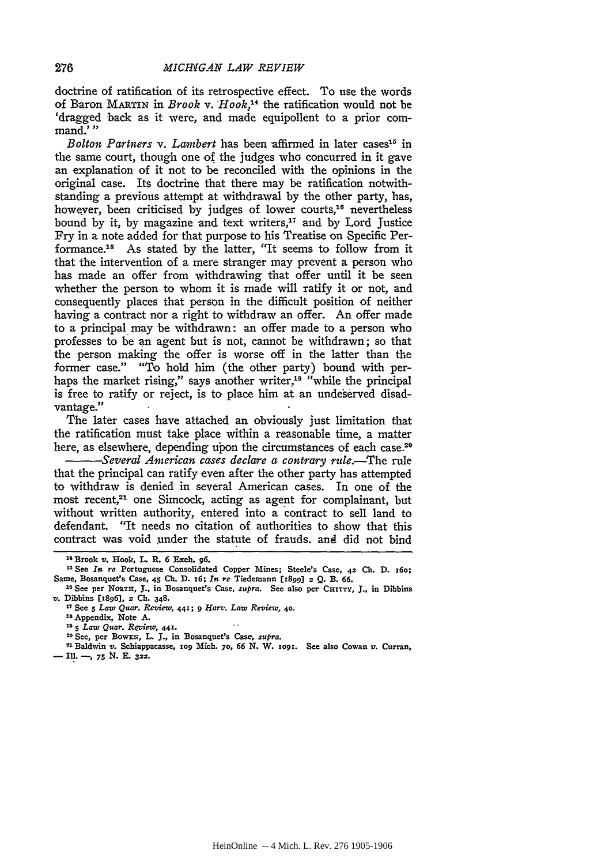doctrine of ratification of its retrospective effect. To use the words of Baron MARTIN in *Brook v. Hook.'4* the ratification would not be 'dragged back as it were, and made equipollent to a prior command."

*Bolton Partners v. Lambert* has been affirmed in later cases<sup>15</sup> in the same court, though one of the judges who concurred in it gave an explanation of it not to be reconciled with the opinions in the original case. Its doctrine that there may be ratification notwithstanding a previous attempt at withdrawal by the other party, has, however, been criticised by judges of lower courts,<sup>16</sup> nevertheless bound by it, by magazine and text writers, $17$  and by Lord Justice Fry in a note added for that purpose to his Treatise on Specific Performance.<sup>18</sup> As stated by the latter, "It seems to follow from it that the intervention of a mere stranger may prevent a person who has made an offer from withdrawing that offer until it be seen whether the person to whom it is made will ratify it or not, and consequently places that person in the difficult position of neither having a contract nor a right to withdraw an offer. An offer made to a principal may be withdrawn: an offer made to a person who professes to be an agent but is not, cannot be withdrawn; so that the person making the offer is worse off in the latter than the former case." "To hold him (the other party) bound with perhaps the market rising," says another writer.<sup>19</sup> "while the principal is free to ratify or reject, is to place him at an undeserved disadvantage."

The later cases have attached an obviously just limitation that the ratification must take place within a reasonable time, a matter here, as elsewhere, depending upon the circumstances of each case.<sup>20</sup> *-Severd American cases declare a contrary rule.-The* rule that the principal can ratify even after the other party has attempted

to withdraw is denied in several American cases. In one of the most recent,<sup>21</sup> one Simcock, acting as agent for complainant, but without written authority, entered into a contract to sell land to defendant. "It needs no citation of authorities to show that this contract was void under the statute of frauds. and did not bind

**21 Baldwin** *v.* **Schiappacasse, 1o9 Mich.** *7o,* **66 N. W. togi. See also Cowan v. Curran, - Ill. -,** *75* **I. E. 322.**

<sup>&</sup>lt;sup>14</sup> Brook v. Hook, L. R. 6 Exch. 96.

**<sup>15</sup> See** *In re* **Portuguese Consolidated Copper Mines; Steele's Case, 42 Ch. D. s6o; Same, Bosanquet's Case, 45 Ch. D. x6;** *In re* **Tiedemann [T899J 2** *Q.* **B. 66.**

**<sup>10</sup> See per NoRTH, J., in Bosanquet's** Case, *supra.* **See** also **per CHITTY, J., in Dibbins**

*v.* **Dibbins [896],** 2 **Ch. 348. 12 See** *5 Law Quar. Review,* 441; **9** *Har.. Law Review,* **40.**

**Is Appendix, Note A.**

**<sup>&</sup>quot;0** *5 Law Quar. Reyjew, 441.*

<sup>20</sup> **See, per BowE!, L. J., in Bosanquet's Case,** *supra.*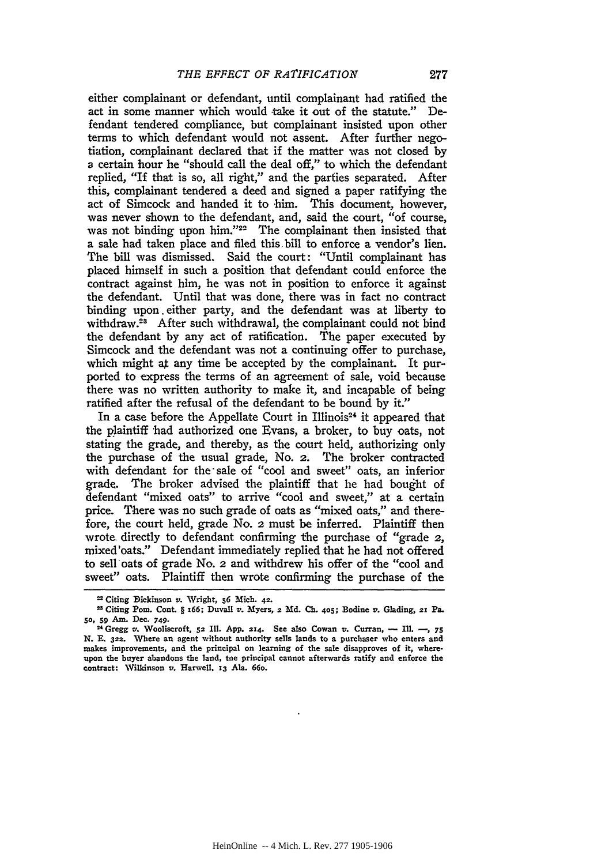either complainant or defendant, until complainant had ratified the act in some manner which would take it out of the statute." Defendant tendered compliance, but complainant insisted upon other terms to which defendant would not assent. After further negotiation, complainant declared that if the matter was not closed by a certain hour he "should call the deal off," to which the defendant replied, "If that is so, all right," and the parties separated. After this, complainant tendered a deed and signed a paper ratifying the act of Simcock and handed it to him. This document, however, was never shown to the defendant, and, said the court, "of course, was not binding upon him."<sup>22</sup> The complainant then insisted that a sale had taken place and filed this.bill to enforce a vendor's lien. The bill was dismissed. Said the court: "Until complainant has placed himself in such a position that defendant could enforce the contract against him, he was not in position to enforce it against the defendant. Until that was done, there was in fact no contract binding upon. either party, and the defendant was at liberty to withdraw.<sup>23</sup> After such withdrawal, the complainant could not bind the defendant by any act of ratification. The paper executed by Simcock and the defendant was not a continuing offer to purchase, which might at any time be accepted by the complainant. It purported to express the terms of an agreement of sale, void because there was no written authority to make it, and incapable of being ratified after the refusal of the defendant to be bound by it."

In a case before the Appellate Court in Illinois<sup>24</sup> it appeared that the plaintiff had authorized one Evans, a broker, to buy oats, not stating the grade, and thereby, as the court held, authorizing only the purchase of the usual grade, No. 2. The broker contracted with defendant for the sale of "cool and sweet" oats, an inferior grade. The broker advised the plaintiff that he had bought of defendant "mixed oats" to arrive "cool and sweet," at a certain price. There was no such grade of oats as "mixed oats," and therefore, the court held, grade No. 2 must be inferred. Plaintiff then wrote directly to defendant confirming the purchase of "grade 2, mixed'oats." Defendant immediately replied that he had not offered to sell oats of grade **No. 2** and withdrew his offer of the "cool and sweet" oats. Plaintiff then wrote confirming the purchase of the

Citing **Dickinaon** v. Wright, **56** Mich. **42. <sup>23</sup>**Citing **Por.** Cont. § 166; Duvall v. Myers, **2 Md. Ch. 405; Bodine v.** Glading, 21 **Pa.** *50,* **59 Amn. Dec. 749.**

<sup>2&#</sup>x27;Gregg v. Wooliscroft, **52** Ill. **App. 214.** See also Cowan v. **Curran, -** Ill. **-, 75 N. E. 322.** Where an agent without authority sells lands to a purchaser who enters and **makes improvements,** and **the principal on learning of the sale disapproves of it,** where**upon the buyer abandons** the **land, toe principal cannot afterwards ratify and enforce the contract: Wilkinson v. Harwell, 13 Ala. 66o.**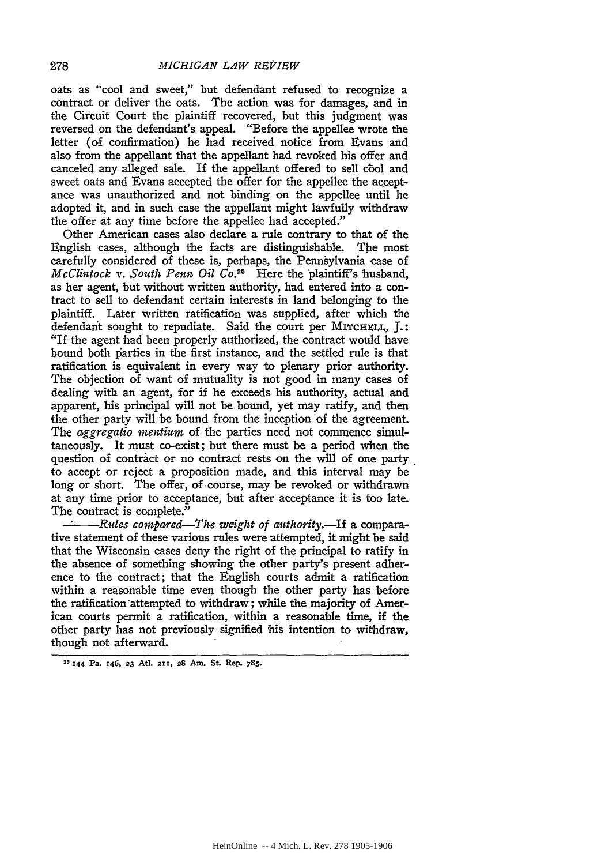oats as "cool and sweet," but defendant refused to recognize a contract or deliver the oats. The action was for damages, and in the Circuit Court the plaintiff recovered, but this judgment was reversed on the defendant's appeal. "Before the appellee wrote the letter (of confirmation) he had received notice from Evans and also from the appellant that the appellant had revoked his offer and canceled any alleged sale. If the appellant offered to sell cool and sweet oats and Evans accepted the offer for the appellee the acceptance was unauthorized and not binding on the appellee until he adopted it, and in such case the appellant might lawfully withdraw the offer at any time before the appellee had accepted."

Other American cases also declare a rule contrary to that of the English cases, although the facts are distinguishable. The most carefully considered of these is, perhaps, the Pennsylvania case of *McClintock v. South Penn Oil Co.*<sup>25</sup> Here the plaintiff's husband, as ber agent, but without written authority, had entered into a contract to sell to defendant certain interests in land belonging to the plaintiff. Later written ratification was supplied, after which the defendant sought to repudiate. Said the court per MITCHELL, J.: "If the agent had been properly authorized, the contract would have bound both parties in the first instance, and the settled rule is that ratification is equivalent in every way to plenary prior authority. The objection of want of mutuality is not good in many cases of dealing with an agent, for if he exceeds his authority, actual and apparent, his principal will not be bound, yet may ratify, and then the other party will be bound from the inception of the agreement. The *aggregatio mentium* of the parties need not commence simultaneously. It must co-exist; but there must be a period when the question of contract or no contract rests on the will of one party to accept or reject a proposition made, and this interval may be long or short. The offer, of course, may be revoked or withdrawn at any time prior to acceptance, but after acceptance it is too late. The contract is complete."<br>*-----Rules compared-The weight of authority*. If a compara-

tive statement of these various rules were attempted, it might be said that the Wisconsin cases deny the right of the principal to ratify in the absence of something showing the other party's present adherence to the contract; that the English courts admit a ratification within a reasonable time even though the other party has before the ratification'attempted to withdraw; while the majority of American courts permit a ratification, within a reasonable time, if the other party has not previously signified 'his intention to withdraw, though not afterward.

278

<sup>25</sup>144 **Pa.** 146, **23 At.** 211, **28 Am. St. Rep. 785.**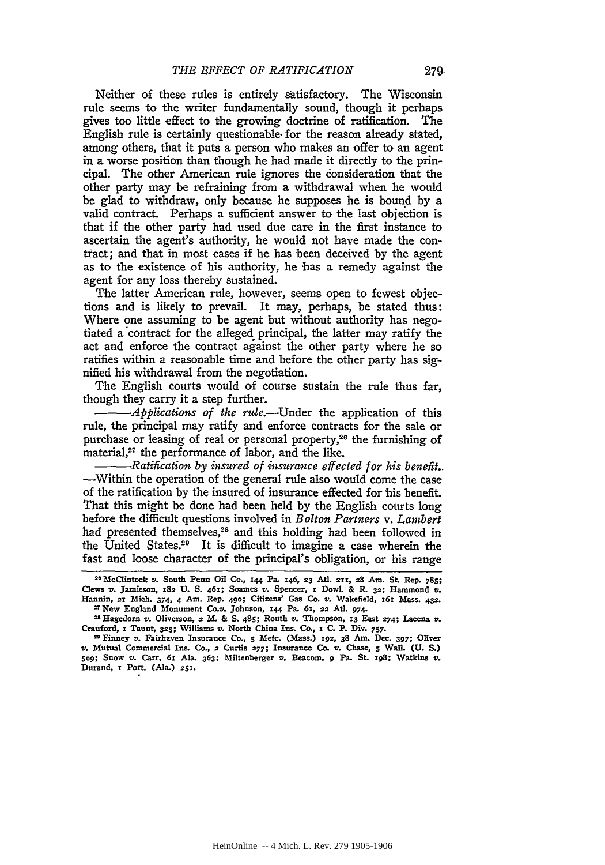Neither of these rules is entirely satisfactory. The Wisconsin rule seems to the writer fundamentally sound, though it perhaps gives too little effect to the growing doctrine of ratification. The English rule is certainly questionable. for the reason already stated, among others, that it puts a person who makes an offer to an agent in a worse position than though he had made it directly to the principal. The other American rule ignores the consideration that the other party may be refraining from a withdrawal when he would be glad to withdraw, only because he supposes he is bound by a valid contract. Perhaps a sufficient answer to the last objection is that if the other party had used due care in the first instance to ascertain the agent's authority, he would not have made the contract; and that in most cases if he has been deceived by the agent as to the existence of his authority, he has a remedy against the agent for any loss thereby sustained.

The latter American rule, however, seems open to fewest objections and is likely to prevail. It may, perhaps, be stated thus: Where one assuming to be agent but without authority has negotiated a contract for the alleged principal, the latter may ratify the act and enforce the contract against the other party where he so ratifies within a reasonable time and before the other party has signified his withdrawal from the negotiation.

The English courts would of course sustain the rule thus far, though they carry it a step further.

*Applications of the rule.-Under* the application of this rule, the principal may ratify and enforce contracts for the sale or purchase or leasing of real or personal property,<sup>26</sup> the furnishing of material,<sup>27</sup> the performance of labor, and the like.

*-Ratification by insured of insurance effected for his benefit..* -Within the operation of the general rule also would come the case of the ratification **by** the insured of insurance effected for his benefit. That this might be done had been held **by** the English courts long before the difficult questions involved in *Bolton Partners v. Lanibert* had presented themselves,<sup>28</sup> and this holding had been followed in the United States.29 It is difficult to imagine a case wherein the fast and loose character of the principal's obligation, or his range

**<sup>2</sup> <sup>8</sup> McClintock v. South Penn** Oil **Co., 144 Pa. 146, 23 At.** 211, **28 Am. St. Rep. 785; Clews v. Jamieson, 182 U. S. 461; Soames v. Spencer, i Dowl. & R. 32; Hammond v. Hannin,** 21 **Mich. 374,** 4 **Am. Rep. 490; Citizens' Gas** Co. **v. Wakefield, 16! Mass. 432.**

<sup>27</sup>New **England** Monument **Co.x. Johnson, x44 Pa. 61,** 22 **AtL 974. <sup>2</sup> 1Hagedorn v.** Oliverson, **2 M. & S. 485; Routh** *v.* **Thompson, 13 East 274;** Lacena **v. Crauford,** r **Taunt, 325;** Williams **v.** North China **Ins. Co.,** i **C. P. Div. 757.**

**<sup>2</sup>Finney v.** Fairhaven Insurance **Co.,** *s* **Met. (Mass.)** 192, **38** *Am.* **Dec. 397; Oliver <sup>v</sup>'. Mutual** Commercial Ins. **Co.,** 2 **Curtis 277; Insurance Co. v'. Chase, S** Wall. **(U. S.)** *509;* **Snow v'. Carr, 61 Ala. 363;** Miltenberger **v. Beacom, 9 Pa. St. 198; Watkins v'. Durand, i Port. (Ala.)** 251.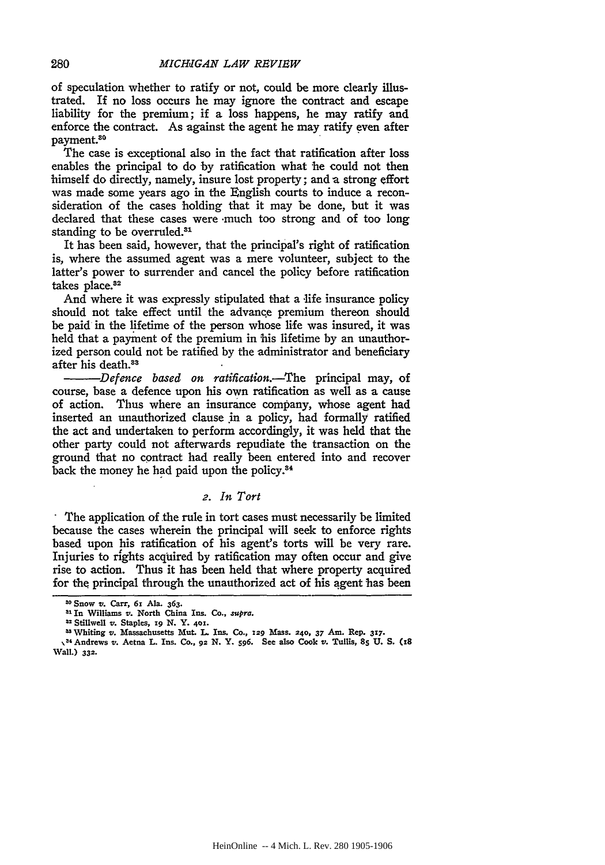of speculation whether to ratify or not, could be more clearly illustrated. If no loss occurs he may ignore the contract and escape liability for the premium; if a loss happens, he may ratify and enforce the contract. As against the agent he may ratify even after payment. 30

The case is exceptional also in the fact that ratification after loss enables the principal to do by ratification what he could not then himself do directly, namely, insure lost property; and a strong effort was made some years ago in the English courts to induce a reconsideration of the cases holding that it may be done, but it was declared that these cases were .much too strong and of too long standing to be overruled.<sup>31</sup>

It has been said, however, that the principal's right of ratification is, where the assumed agent was a mere volunteer, subject to the latter's power to surrender and cancel the policy before ratification takes place.<sup>82</sup>

And where it was expressly stipulated that a life insurance policy should not take effect until the advance premium thereon should be paid in the lifetime of the person whose life was insured, it was held that a payment of the premium in his lifetime by an unauthorized person could not be ratified by the administrator and beneficiary after his death.<sup>33</sup>

*Defence based on ratification.-The* principal may, of course, base a defence upon his own ratification as well as a cause of action. Thus where an insurance company, whose agent had inserted an unauthorized clause in a policy, had formally ratified the act and undertaken to perform accordingly, it was held that the other party could not afterwards repudiate the transaction on the ground that no contract had really been entered into and recover back the money he had paid upon the policy.<sup>34</sup>

#### *2. In Tort*

The application of the rule in tort cases must necessarily be limited because the cases wherein the principal will seek to enforce rights based upon his ratification of his agent's torts will be very rare. Injuries to rights acquired by ratification may often occur and give rise to action. Thus it has been held that where property acquired for the principal through the unauthorized act of his agent has been

**<sup>10</sup> Snow v. Carr,** 61 **Ala. 363.**

**<sup>&</sup>quot;In** Williams **v. North** China **Ins.** Co., *supra.*

**<sup>=</sup>** Stillwell **v.** Staples, *19* **N. Y. 401.**

**<sup>33</sup>**Whiting **v.** Massachusetts **Mut. I. Ins. Co., 129 Mass. 240, 37 Am. Rep. 317. 34 Andrews v. Aetna L.** Ins. **Co., 92 N. Y. 596. See also Cook v. Tullis, 8S U. S. (iB Wall.) 332.**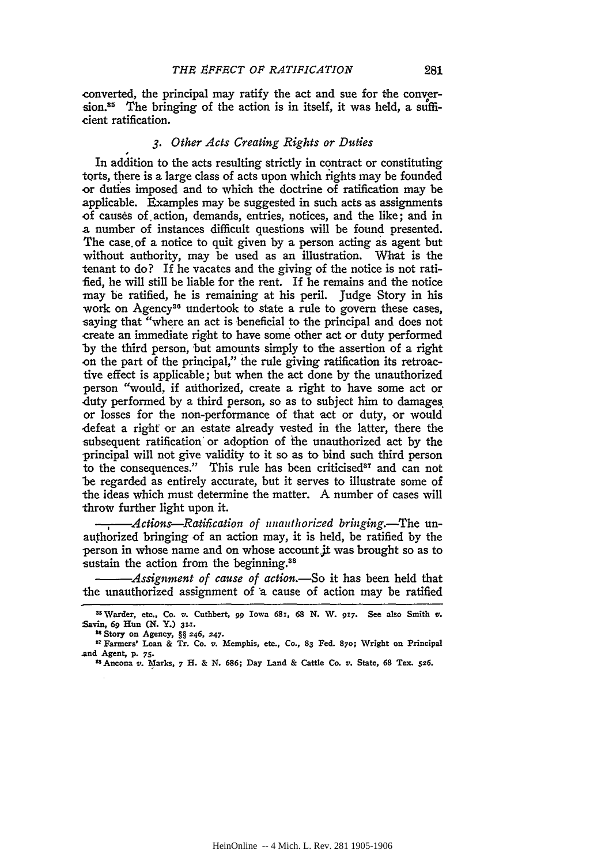converted, the principal may ratify the act and sue for the conver**sion.<sup>85</sup>**The bringing of the action is in itself, it was held, a sufficient ratification.

#### *3. Other Acts Creating Rights or Duties*

In addition to the acts resulting strictly in contract or constituting torts, there is a large class of acts upon which rights may be founded or duties imposed and to which the doctrine of ratification may be applicable. Examples may be suggested in such acts as assignments of causes of action, demands, entries, notices, and the like; and in a number of instances difficult questions will be found presented. The case. of a notice to quit given **by** a person acting as agent but without authority, may be used as an illustration. What is the tenant to do? If he vacates and the giving of the notice is not ratified, he will still be liable for the rent. If he remains and the notice may be ratified, he is remaining at his peril. Judge Story in his work on Agency<sup>36</sup> undertook to state a rule to govern these cases, saying that "where an act is beneficial to the principal and does not create an immediate right to have some other act or duty performed **by** the third person, but amounts simply to the assertion of a right on the part of the principal," the rule giving ratification its retroactive effect is applicable; but when the act done **by** the unauthorized person "would, if atithorized, create a right to have some act or duty performed by a third person, so as to subject him to damages or losses for the non-performance of that act or duty, or would defeat a right or an estate already vested in the latter, there the subsequent ratification or adoption of the unauthorized act **by** the principal will not give validity to it so as to bind such third person to the consequences." This rule has been criticised<sup>87</sup> and can not be regarded as entirely accurate, but it serves to illustrate some of the ideas which must determine the matter. **A** number of cases will throw further light upon it.

*Actions-Ratification of naiithoried bringing.-The* **un**authorized bringing of an action may, it is held, be ratified by the person in whose name and on whose account.jt was brought so as to sustain the action from the beginning.<sup>38</sup>

*-Assignment of cause of action.-So* it has been held that the unauthorized assignment of a cause of action may be ratified

<sup>33</sup>Warder, **etc., Co.** *v.* **Cuthbert, 99 Iowa 681, 68 N. W. 917. See also Smith v. Savin, 69 Hun (N. Y.) 31J.**

**Story on Agency,** §§ **246, 247. Farmers' Loan & Tr. Co. v.** Memphis, **etc., Co., 83 Fed. 870; Wright on Principal .and Agent, p. 75.**

ts **Ancona v. Marks, 7 H. & N. 686; Day** Land **& Cattle Co.** *v.* **State, 68 Tex. 526.**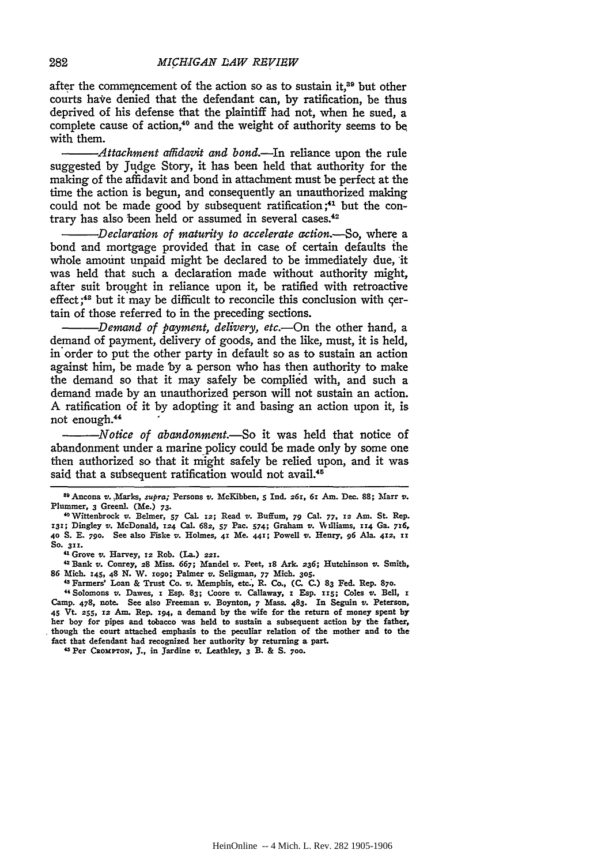after the commencement of the action so as to sustain it,<sup>39</sup> but other courts have denied that the defendant can, by ratification, be thus deprived of his defense that the plaintiff had not, when he sued, a complete cause of action,<sup>40</sup> and the weight of authority seems to be with them.

*Attachment affidavit and bond.-In* reliance upon the rule suggested by Judge Story, it has been held that authority for the making of the affidavit and bond in attachment must be perfect at the time the action is begun, and consequently an unauthorized making could not be made good by subsequent ratification;<sup>41</sup> but the contrary has also been held or assumed in several cases. $42$ 

*Declaration of maturity to accelerate action.-So,* where a bond and mortgage provided that in case of certain defaults the whole amount unpaid might be declared to be immediately due, it was held that such a declaration made without authority might, after suit brought in reliance upon it, be ratified with retroactive effect **;4"** but it may be difficult to reconcile this conclusion with ertain of those referred to in the preceding sections.

*Demand of payment, delivery, etc.-On* the other hand, a demand of payment, delivery of goods, and the like, must, it is held, in order to put the other party in default so as to sustain an action against him, be made **by** a person who has then authority to make the demand so that it may safely be complied with, and such a demand made by an unauthorized person will not sustain an action. A ratification of it by adopting it and basing an action upon it, is not enough.<sup>44</sup>

*Notice of abandonment.-So* it was held that notice of abandonment under a marine policy could be made only by some one then authorized so that it might safely be relied upon, and it was said that a subsequent ratification would not avail.<sup>45</sup>

**a" Ancona v. Marks,** *supra;* **Persons v. McKibben, 5 Ind. 26r, 61** *Am.* **Dec. 88; Marr V. Plummer, 3 Greeni. (Me.) 73.**

**4"Wittenbrock v. Belmer,** *57* **Cal.** *x2;* **Read v. Buffum, 79 Cal.** *77,* 12 **Am. St. Rep. 131; Dingley v.** McDonald, **124 Cal. 682,** *157* **Pac. 574; Graham v. Williams, x'4 Ga. 716, 40 S. E.** *79o.* **See also Fiske v. Holmes, 41 Me. 44x; Powell** v. **Henry, 96 Ala. 42, XX So. 311.**

4 **Grove v. Harvey, x2 Rob. (La.)** 21.

**4Bank v. Conrey, 28 Miss. 667; Mandel v. Peet, x8 Ark. 236; Hutchinson** *v.* **Smith, 86 Mich. 145, 48** *N.* W. **xogo; Palmer v. Seligman, 77 Mich. 30S.**

**"Farmers' Loan & Trust Co.** v. **Memphis, etc., R. Co., (C. C.) 83 Fed. Rep. 870.**

**'4Solomons v. Dawes, x Esp. 83; Coore v. Callaway, x Esp. xis; Coles v.** Bell, **i Camp. 478, note. See also Freeman v. Boynton, 7 Mass. 483. In Seguin v. Peterson, 45 Vt. 255,** *x2* **Am. Rep. 194, a demand by the** wife **for the return of money spent by her boy for pipes and tobacco was held to sustain a subsequent action by the** father **though** the **court attached emphasis to** the **peculiar relation of** the **mother and to the fact that defendant had recognized her authority by returning** a **part.**

**"Per CROMPrON, J., in Jardine v. Leathley, 3 B. & S. 700.**